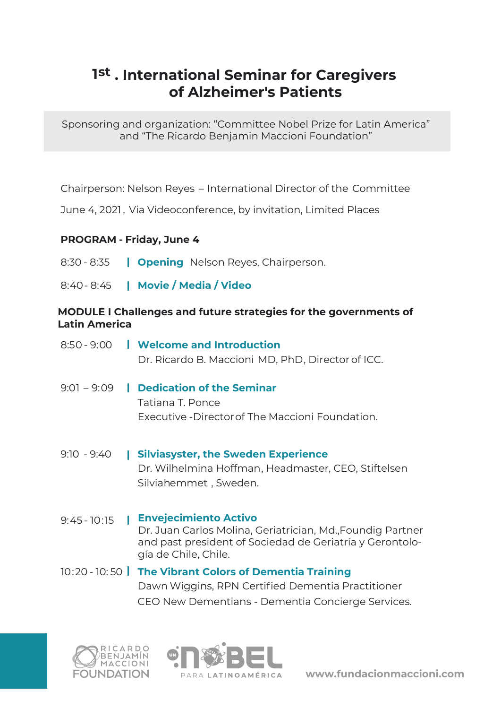# **1st . International Seminar for Caregivers of Alzheimer's Patients**

Sponsoring and organization: "Committee Nobel Prize for Latin America" and "The Ricardo Benjamin Maccioni Foundation"

Chairperson: Nelson Reyes – International Director of the Committee

June 4, 2021, Via Videoconference, by invitation, Limited Places

## **PROGRAM - Friday, June 4**

- 8:30 8:35 **Opening** Nelson Reyes, Chairperson.
- 8:40- 8:45 **Movie / Media / Video**

#### **MODULE I Challenges and future strategies for the governments of Latin America**

|               | 8:50 - 9:00 <b>I</b> Welcome and Introduction<br>Dr. Ricardo B. Maccioni MD, PhD, Director of ICC.                               |
|---------------|----------------------------------------------------------------------------------------------------------------------------------|
| $9:01 - 9:09$ | <b>Dedication of the Seminar</b><br>$\mathbf{I}$<br>Tatiana T. Ponce<br>Executive -Director of The Maccioni Foundation.          |
| $9:10 - 9:40$ | <b>Silviasyster, the Sweden Experience</b><br>I.<br>Dr. Wilhelmina Hoffman, Headmaster, CEO, Stiftelsen<br>Silviahemmet, Sweden. |

9:45 - 10:15 **Envejecimiento Activo**  Dr. Juan Carlos Molina, Geriatrician, Md.,Foundig Partner and past president of Sociedad de Geriatría y Gerontología de Chile, Chile.

# 10:20 - 10: 50 **The Vibrant Colors of Dementia Training** Dawn Wiggins, RPN Certified Dementia Practitioner CEO New Dementians - Dementia Concierge Services.





**www.fundacionmaccioni.com**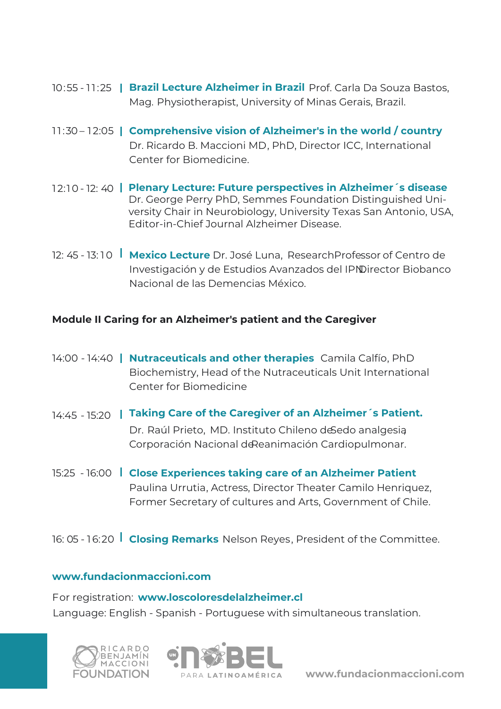- 10:55 11:25 **Brazil Lecture Alzheimer in Brazil** Prof. Carla Da Souza Bastos, Mag. Physiotherapist, University of Minas Gerais, Brazil.
- 11:30 12:05 **Comprehensive vision of Alzheimer's in the world / country** Dr. Ricardo B. Maccioni MD, PhD, Director ICC, International Center for Biomedicine.
- 1 2:10 12: 40 **Plenary Lecture: Future perspectives in Alzheimer´s disease**  Dr. George Perry PhD, Semmes Foundation Distinguished University Chair in Neurobiology, University Texas San Antonio, USA, Editor-in-Chief Journal Alzheimer Disease.
- 12: 45 13: 10 **Mexico Lecture** Dr. José Luna, Research Professor of Centro de Investigación y de Estudios Avanzados del IPNDirector Biobanco Nacional de las Demencias México.

### **Module II Caring for an Alzheimer's patient and the Caregiver**

- 14:00 14:40 **Nutraceuticals and other therapies** Camila Calfío, PhD Biochemistry, Head of the Nutraceuticals Unit International Center for Biomedicine
- 14:45 15:20 **Taking Care of the Caregiver of an Alzheimer´s Patient.**  Dr. Raúl Prieto, MD. Instituto Chileno de Sedo analgesia Corporación Nacional de Reanimación Cardiopulmonar.
- 15:25 16:00 **Close Experiences taking care of an Alzheimer Patient**  Paulina Urrutia, Actress, Director Theater Camilo Henriquez, Former Secretary of cultures and Arts, Government of Chile.
- 16: 05 16:20 **Closing Remarks** Nelson Reyes, President of the Committee.

### **www.fundacionmaccioni.com**

For registration: **www.loscoloresdelalzheimer.cl** Language: English - Spanish - Portuguese with simultaneous translation.





**www.fundacionmaccioni.com**